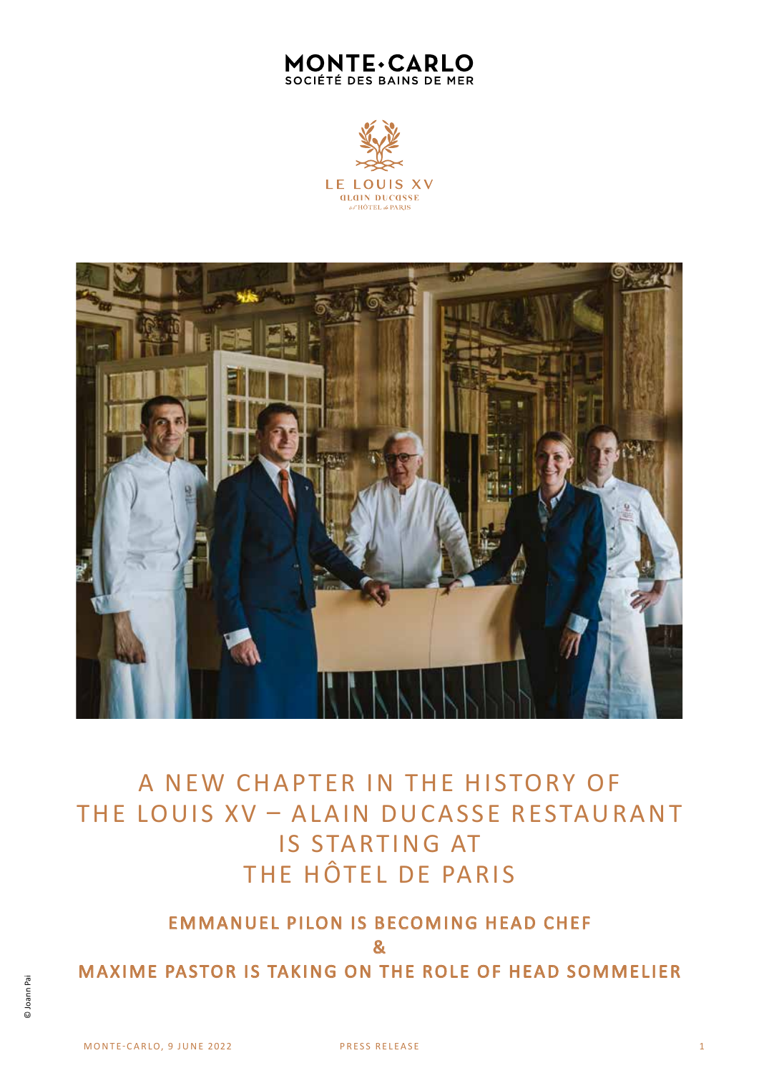# **MONTE·CARLO** SOCIÉTÉ DES BAINS DE MER





A NEW CHAPTER IN THE HISTORY OF THE LOUIS XV – ALAIN DUCASSE RESTAURANT IS STARTING AT THE HÔTEL DE PARIS

EMMANUEL PILON IS BECOMING HEAD CHEF & MAXIME PASTOR IS TAKING ON THE ROLE OF HEAD SOMMELIER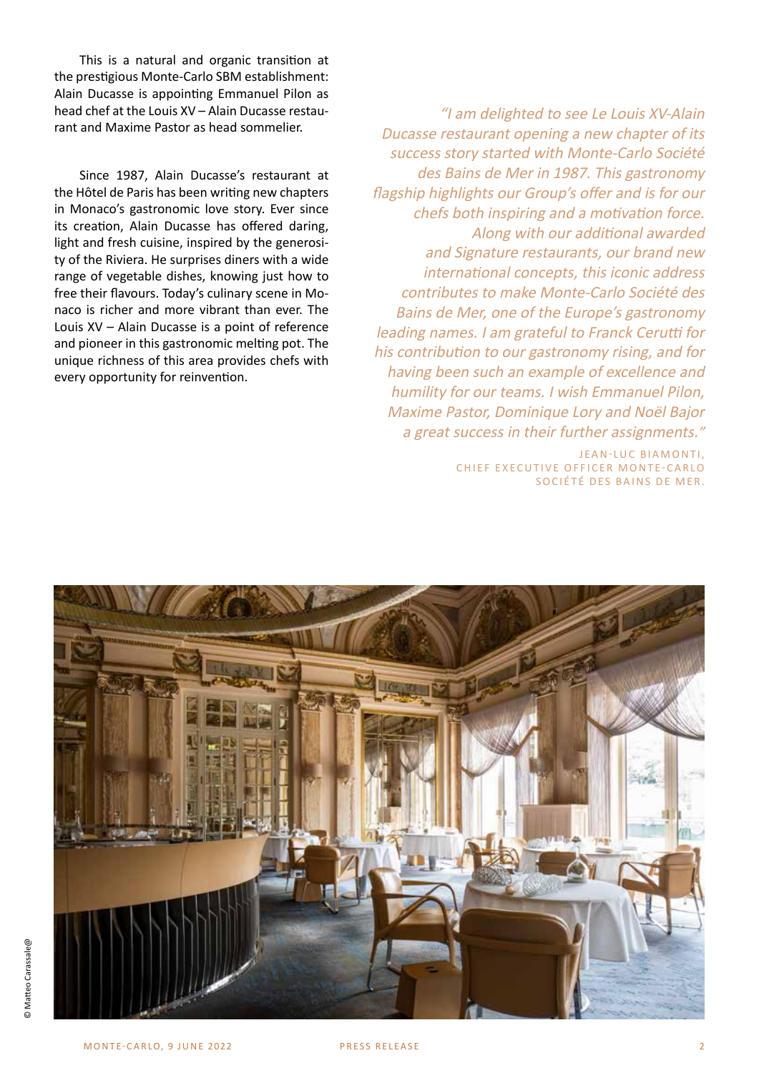This is a natural and organic transition at the prestigious Monte-Carlo SBM establishment: Alain Ducasse is appointing Emmanuel Pilon as head chef at the Louis XV – Alain Ducasse restaurant and Maxime Pastor as head sommelier.

Since 1987, Alain Ducasse's restaurant at the Hôtel de Paris has been writing new chapters in Monaco's gastronomic love story. Ever since its creation, Alain Ducasse has offered daring, light and fresh cuisine, inspired by the generosity of the Riviera. He surprises diners with a wide range of vegetable dishes, knowing just how to free their flavours. Today's culinary scene in Monaco is richer and more vibrant than ever. The Louis XV – Alain Ducasse is a point of reference and pioneer in this gastronomic melting pot. The unique richness of this area provides chefs with every opportunity for reinvention.

"I am delighted to see Le Louis XV-Alain Ducasse restaurant opening a new chapter of its success story started with Monte-Carlo Société des Bains de Mer in 1987. This gastronomy flagship highlights our Group's offer and is for our chefs both inspiring and a motivation force. Along with our additional awarded and Signature restaurants, our brand new international concepts, this iconic address contributes to make Monte-Carlo Société des Bains de Mer, one of the Europe's gastronomy leading names. I am grateful to Franck Cerutti for his contribution to our gastronomy rising, and for having been such an example of excellence and humility for our teams. I wish Emmanuel Pilon, Maxime Pastor, Dominique Lory and Noël Bajor a great success in their further assignments."

> JEAN-LUC BIAMONTI. CHIEF EXECUTIVE OFFICER MONTE-CARLO SOCIÉTÉ DES BAINS DE MER.

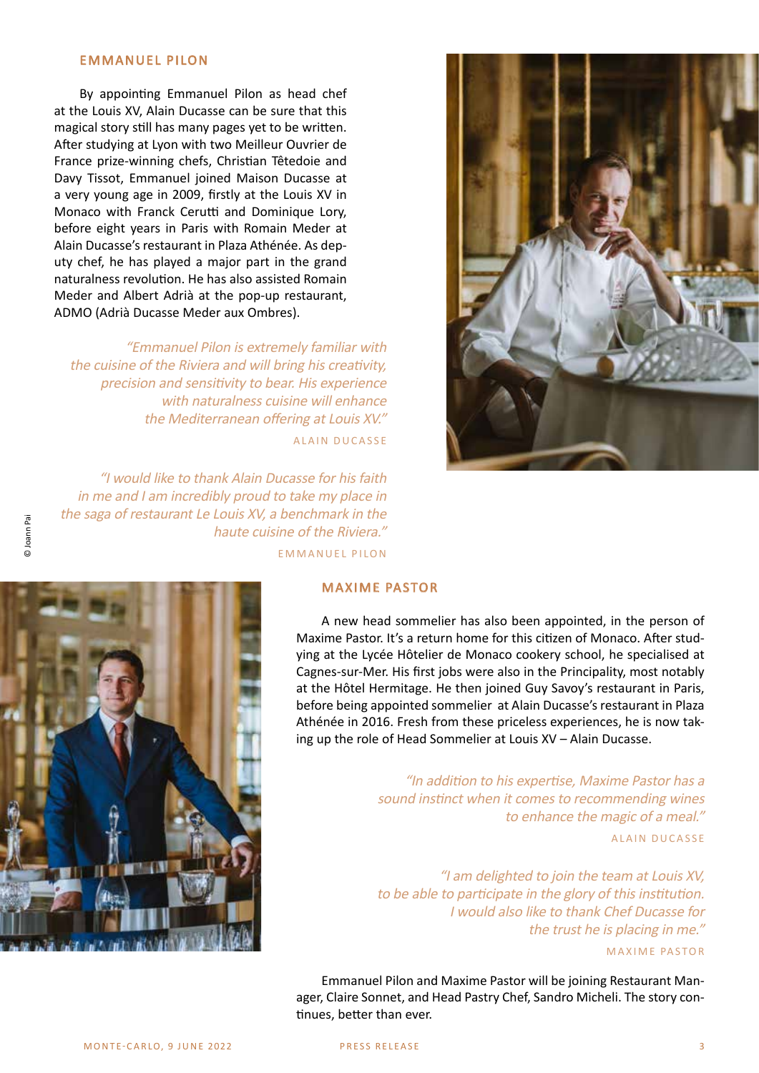### EMMANUEL PILON

By appointing Emmanuel Pilon as head chef at the Louis XV, Alain Ducasse can be sure that this magical story still has many pages yet to be written. After studying at Lyon with two Meilleur Ouvrier de France prize-winning chefs, Christian Têtedoie and Davy Tissot, Emmanuel joined Maison Ducasse at a very young age in 2009, firstly at the Louis XV in Monaco with Franck Cerutti and Dominique Lory, before eight years in Paris with Romain Meder at Alain Ducasse's restaurant in Plaza Athénée. As deputy chef, he has played a major part in the grand naturalness revolution. He has also assisted Romain Meder and Albert Adrià at the pop-up restaurant, ADMO (Adrià Ducasse Meder aux Ombres).

"Emmanuel Pilon is extremely familiar with the cuisine of the Riviera and will bring his creativity, precision and sensitivity to bear. His experience with naturalness cuisine will enhance the Mediterranean offering at Louis XV." ALAIN DUCASSE

"I would like to thank Alain Ducasse for his faith in me and I am incredibly proud to take my place in the saga of restaurant Le Louis XV, a benchmark in the haute cuisine of the Riviera." EMMANUEL PILON





#### MAXIME PASTOR

A new head sommelier has also been appointed, in the person of Maxime Pastor. It's a return home for this citizen of Monaco. After studying at the Lycée Hôtelier de Monaco cookery school, he specialised at Cagnes-sur-Mer. His first jobs were also in the Principality, most notably at the Hôtel Hermitage. He then joined Guy Savoy's restaurant in Paris, before being appointed sommelier at Alain Ducasse's restaurant in Plaza Athénée in 2016. Fresh from these priceless experiences, he is now taking up the role of Head Sommelier at Louis XV – Alain Ducasse.

> "In addition to his expertise, Maxime Pastor has a sound instinct when it comes to recommending wines to enhance the magic of a meal."

> > ALAIN DUCASSE

"I am delighted to join the team at Louis XV, to be able to participate in the glory of this institution. I would also like to thank Chef Ducasse for the trust he is placing in me."

MAXIME PASTOR

Emmanuel Pilon and Maxime Pastor will be joining Restaurant Manager, Claire Sonnet, and Head Pastry Chef, Sandro Micheli. The story continues, better than ever.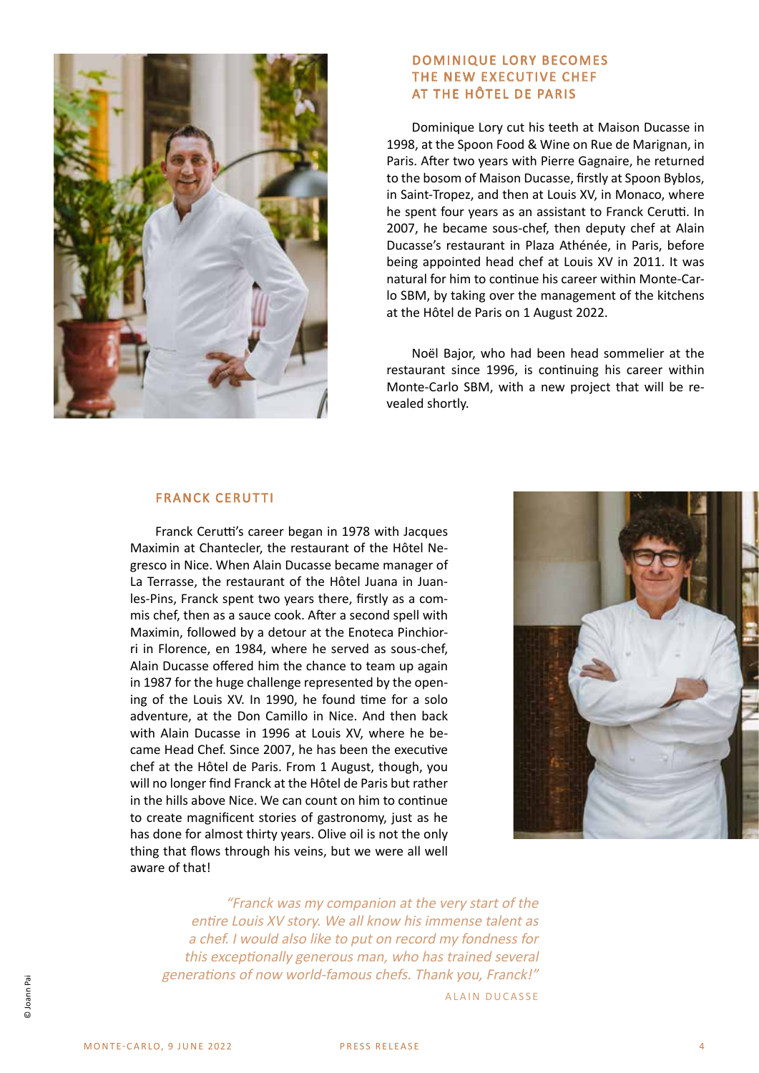

### DOMINIQUE LORY BECOMES THE NEW EXECUTIVE CHEF AT THE HÔTEL DE PARIS

Dominique Lory cut his teeth at Maison Ducasse in 1998, at the Spoon Food & Wine on Rue de Marignan, in Paris. After two years with Pierre Gagnaire, he returned to the bosom of Maison Ducasse, firstly at Spoon Byblos, in Saint-Tropez, and then at Louis XV, in Monaco, where he spent four years as an assistant to Franck Cerutti. In 2007, he became sous-chef, then deputy chef at Alain Ducasse's restaurant in Plaza Athénée, in Paris, before being appointed head chef at Louis XV in 2011. It was natural for him to continue his career within Monte-Carlo SBM, by taking over the management of the kitchens at the Hôtel de Paris on 1 August 2022.

Noël Bajor, who had been head sommelier at the restaurant since 1996, is continuing his career within Monte-Carlo SBM, with a new project that will be revealed shortly.

## FRANCK CERUTTI

Franck Cerutti's career began in 1978 with Jacques Maximin at Chantecler, the restaurant of the Hôtel Negresco in Nice. When Alain Ducasse became manager of La Terrasse, the restaurant of the Hôtel Juana in Juanles-Pins, Franck spent two years there, firstly as a commis chef, then as a sauce cook. After a second spell with Maximin, followed by a detour at the Enoteca Pinchiorri in Florence, en 1984, where he served as sous-chef, Alain Ducasse offered him the chance to team up again in 1987 for the huge challenge represented by the opening of the Louis XV. In 1990, he found time for a solo adventure, at the Don Camillo in Nice. And then back with Alain Ducasse in 1996 at Louis XV, where he became Head Chef. Since 2007, he has been the executive chef at the Hôtel de Paris. From 1 August, though, you will no longer find Franck at the Hôtel de Paris but rather in the hills above Nice. We can count on him to continue to create magnificent stories of gastronomy, just as he has done for almost thirty years. Olive oil is not the only thing that flows through his veins, but we were all well aware of that!



"Franck was my companion at the very start of the entire Louis XV story. We all know his immense talent as a chef. I would also like to put on record my fondness for this exceptionally generous man, who has trained several generations of now world-famous chefs. Thank you, Franck!" ALAIN DUCASSE